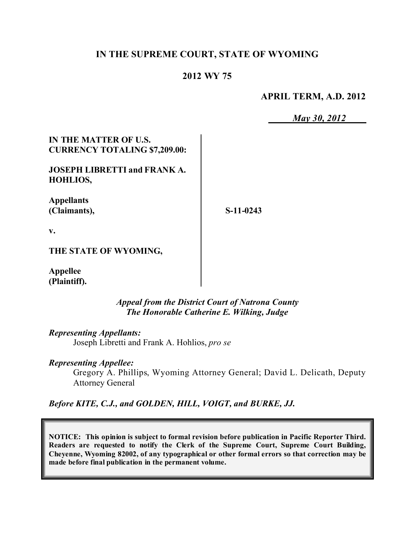#### **IN THE SUPREME COURT, STATE OF WYOMING**

#### **2012 WY 75**

**APRIL TERM, A.D. 2012**

*May 30, 2012*

**IN THE MATTER OF U.S. CURRENCY TOTALING \$7,209.00:**

**JOSEPH LIBRETTI and FRANK A. HOHLIOS,**

**Appellants (Claimants),**

**S-11-0243**

**v.**

**THE STATE OF WYOMING,**

**Appellee (Plaintiff).**

> *Appeal from the District Court of Natrona County The Honorable Catherine E. Wilking, Judge*

*Representing Appellants:* Joseph Libretti and Frank A. Hohlios, *pro se*

*Representing Appellee:*

Gregory A. Phillips, Wyoming Attorney General; David L. Delicath, Deputy Attorney General

*Before KITE, C.J., and GOLDEN, HILL, VOIGT, and BURKE, JJ.*

**NOTICE: This opinion is subject to formal revision before publication in Pacific Reporter Third. Readers are requested to notify the Clerk of the Supreme Court, Supreme Court Building, Cheyenne, Wyoming 82002, of any typographical or other formal errors so that correction may be made before final publication in the permanent volume.**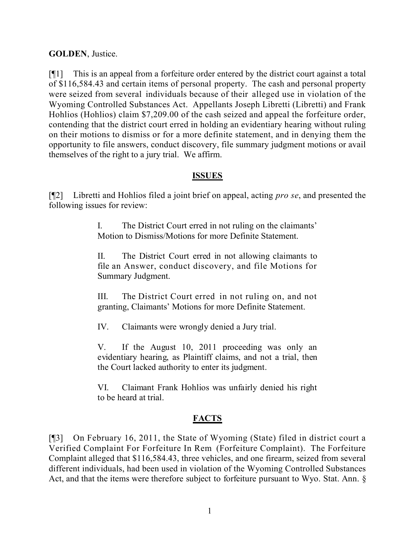#### **GOLDEN**, Justice.

[¶1] This is an appeal from a forfeiture order entered by the district court against a total of \$116,584.43 and certain items of personal property. The cash and personal property were seized from several individuals because of their alleged use in violation of the Wyoming Controlled Substances Act. Appellants Joseph Libretti (Libretti) and Frank Hohlios (Hohlios) claim \$7,209.00 of the cash seized and appeal the forfeiture order, contending that the district court erred in holding an evidentiary hearing without ruling on their motions to dismiss or for a more definite statement, and in denying them the opportunity to file answers, conduct discovery, file summary judgment motions or avail themselves of the right to a jury trial. We affirm.

## **ISSUES**

[¶2] Libretti and Hohlios filed a joint brief on appeal, acting *pro se*, and presented the following issues for review:

> I. The District Court erred in not ruling on the claimants' Motion to Dismiss/Motions for more Definite Statement.

> II. The District Court erred in not allowing claimants to file an Answer, conduct discovery, and file Motions for Summary Judgment.

> III. The District Court erred in not ruling on, and not granting, Claimants' Motions for more Definite Statement.

IV. Claimants were wrongly denied a Jury trial.

V. If the August 10, 2011 proceeding was only an evidentiary hearing, as Plaintiff claims, and not a trial, then the Court lacked authority to enter its judgment.

VI. Claimant Frank Hohlios was unfairly denied his right to be heard at trial.

## **FACTS**

[¶3] On February 16, 2011, the State of Wyoming (State) filed in district court a Verified Complaint For Forfeiture In Rem (Forfeiture Complaint). The Forfeiture Complaint alleged that \$116,584.43, three vehicles, and one firearm, seized from several different individuals, had been used in violation of the Wyoming Controlled Substances Act, and that the items were therefore subject to forfeiture pursuant to Wyo. Stat. Ann. §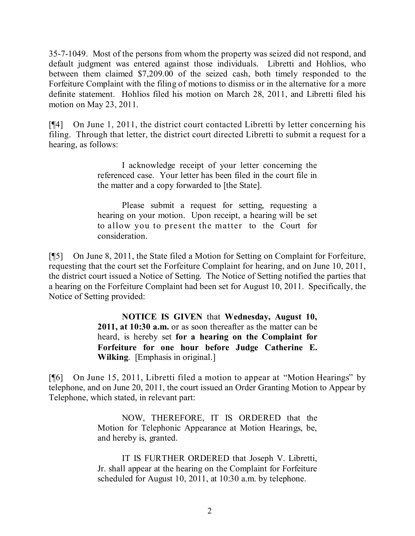35-7-1049. Most of the persons from whom the property was seized did not respond, and default judgment was entered against those individuals. Libretti and Hohlios, who between them claimed \$7,209.00 of the seized cash, both timely responded to the Forfeiture Complaint with the filing of motions to dismiss or in the alternative for a more definite statement. Hohlios filed his motion on March 28, 2011, and Libretti filed his motion on May 23, 2011.

[¶4] On June 1, 2011, the district court contacted Libretti by letter concerning his filing. Through that letter, the district court directed Libretti to submit a request for a hearing, as follows:

> I acknowledge receipt of your letter concerning the referenced case. Your letter has been filed in the court file in the matter and a copy forwarded to [the State].

> Please submit a request for setting, requesting a hearing on your motion. Upon receipt, a hearing will be set to allow you to present the matter to the Court for consideration.

[¶5] On June 8, 2011, the State filed a Motion for Setting on Complaint for Forfeiture, requesting that the court set the Forfeiture Complaint for hearing, and on June 10, 2011, the district court issued a Notice of Setting. The Notice of Setting notified the parties that a hearing on the Forfeiture Complaint had been set for August 10, 2011. Specifically, the Notice of Setting provided:

> **NOTICE IS GIVEN** that **Wednesday, August 10, 2011, at 10:30 a.m.** or as soon thereafter as the matter can be heard, is hereby set **for a hearing on the Complaint for Forfeiture for one hour before Judge Catherine E. Wilking**. [Emphasis in original.]

[¶6] On June 15, 2011, Libretti filed a motion to appear at "Motion Hearings" by telephone, and on June 20, 2011, the court issued an Order Granting Motion to Appear by Telephone, which stated, in relevant part:

> NOW, THEREFORE, IT IS ORDERED that the Motion for Telephonic Appearance at Motion Hearings, be, and hereby is, granted.

> IT IS FURTHER ORDERED that Joseph V. Libretti, Jr. shall appear at the hearing on the Complaint for Forfeiture scheduled for August 10, 2011, at 10:30 a.m. by telephone.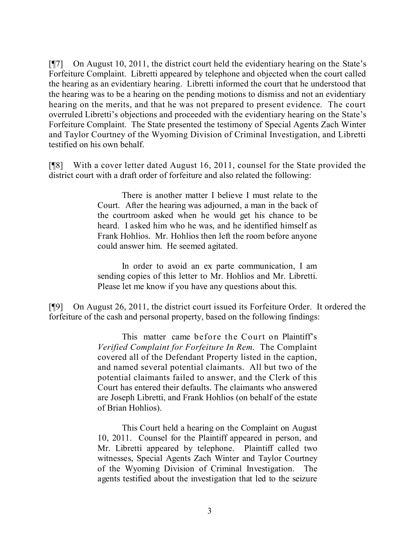[¶7] On August 10, 2011, the district court held the evidentiary hearing on the State's Forfeiture Complaint. Libretti appeared by telephone and objected when the court called the hearing as an evidentiary hearing. Libretti informed the court that he understood that the hearing was to be a hearing on the pending motions to dismiss and not an evidentiary hearing on the merits, and that he was not prepared to present evidence. The court overruled Libretti's objections and proceeded with the evidentiary hearing on the State's Forfeiture Complaint. The State presented the testimony of Special Agents Zach Winter and Taylor Courtney of the Wyoming Division of Criminal Investigation, and Libretti testified on his own behalf.

[¶8] With a cover letter dated August 16, 2011, counsel for the State provided the district court with a draft order of forfeiture and also related the following:

> There is another matter I believe I must relate to the Court. After the hearing was adjourned, a man in the back of the courtroom asked when he would get his chance to be heard. I asked him who he was, and he identified himself as Frank Hohlios. Mr. Hohlios then left the room before anyone could answer him. He seemed agitated.

> In order to avoid an ex parte communication, I am sending copies of this letter to Mr. Hohlios and Mr. Libretti. Please let me know if you have any questions about this.

[¶9] On August 26, 2011, the district court issued its Forfeiture Order. It ordered the forfeiture of the cash and personal property, based on the following findings:

> This matter came before the Court on Plaintiff's *Verified Complaint for Forfeiture In Rem*. The Complaint covered all of the Defendant Property listed in the caption, and named several potential claimants. All but two of the potential claimants failed to answer, and the Clerk of this Court has entered their defaults. The claimants who answered are Joseph Libretti, and Frank Hohlios (on behalf of the estate of Brian Hohlios).

> This Court held a hearing on the Complaint on August 10, 2011. Counsel for the Plaintiff appeared in person, and Mr. Libretti appeared by telephone. Plaintiff called two witnesses, Special Agents Zach Winter and Taylor Courtney of the Wyoming Division of Criminal Investigation. The agents testified about the investigation that led to the seizure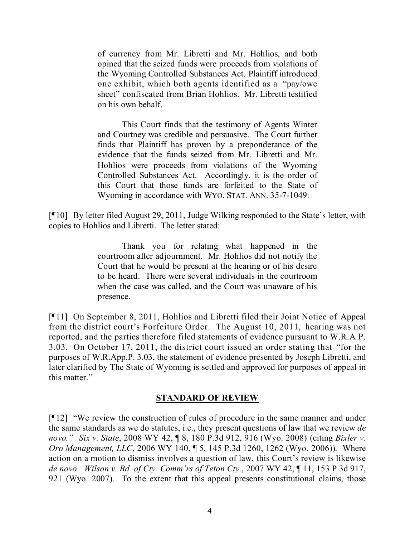of currency from Mr. Libretti and Mr. Hohlios, and both opined that the seized funds were proceeds from violations of the Wyoming Controlled Substances Act. Plaintiff introduced one exhibit, which both agents identified as a "pay/owe sheet" confiscated from Brian Hohlios. Mr. Libretti testified on his own behalf.

This Court finds that the testimony of Agents Winter and Courtney was credible and persuasive. The Court further finds that Plaintiff has proven by a preponderance of the evidence that the funds seized from Mr. Libretti and Mr. Hohlios were proceeds from violations of the Wyoming Controlled Substances Act. Accordingly, it is the order of this Court that those funds are forfeited to the State of Wyoming in accordance with WYO. STAT. ANN. 35-7-1049.

[¶10] By letter filed August 29, 2011, Judge Wilking responded to the State's letter, with copies to Hohlios and Libretti. The letter stated:

> Thank you for relating what happened in the courtroom after adjournment. Mr. Hohlios did not notify the Court that he would be present at the hearing or of his desire to be heard. There were several individuals in the courtroom when the case was called, and the Court was unaware of his presence.

[¶11] On September 8, 2011, Hohlios and Libretti filed their Joint Notice of Appeal from the district court's Forfeiture Order. The August 10, 2011, hearing was not reported, and the parties therefore filed statements of evidence pursuant to W.R.A.P. 3.03. On October 17, 2011, the district court issued an order stating that "for the purposes of W.R.App.P. 3.03, the statement of evidence presented by Joseph Libretti, and later clarified by The State of Wyoming is settled and approved for purposes of appeal in this matter."

#### **STANDARD OF REVIEW**

[¶12] "We review the construction of rules of procedure in the same manner and under the same standards as we do statutes, i.e., they present questions of law that we review *de novo." Six v. State*, 2008 WY 42, ¶ 8, 180 P.3d 912, 916 (Wyo. 2008) (citing *Bixler v. Oro Management, LLC*, 2006 WY 140, ¶ 5, 145 P.3d 1260, 1262 (Wyo. 2006)). Where action on a motion to dismiss involves a question of law, this Court's review is likewise *de novo*. *Wilson v. Bd. of Cty. Comm'rs of Teton Cty.*, 2007 WY 42, ¶ 11, 153 P.3d 917, 921 (Wyo. 2007). To the extent that this appeal presents constitutional claims, those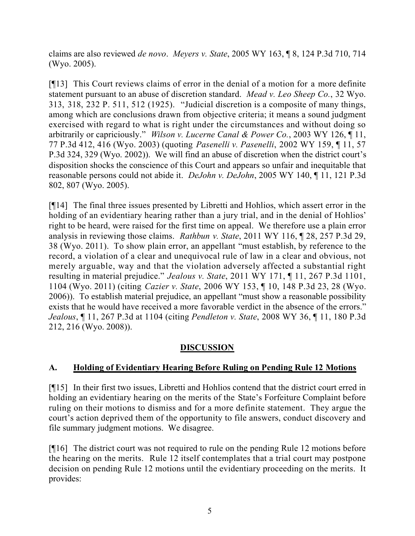claims are also reviewed *de novo*. *Meyers v. State*, 2005 WY 163, ¶ 8, 124 P.3d 710, 714 (Wyo. 2005).

[¶13] This Court reviews claims of error in the denial of a motion for a more definite statement pursuant to an abuse of discretion standard. *Mead v. Leo Sheep Co.*, 32 Wyo. 313, 318, 232 P. 511, 512 (1925). "Judicial discretion is a composite of many things, among which are conclusions drawn from objective criteria; it means a sound judgment exercised with regard to what is right under the circumstances and without doing so arbitrarily or capriciously." *Wilson v. Lucerne Canal & Power Co.*, 2003 WY 126, ¶ 11, 77 P.3d 412, 416 (Wyo. 2003) (quoting *Pasenelli v. Pasenelli*, 2002 WY 159, ¶ 11, 57 P.3d 324, 329 (Wyo. 2002)). We will find an abuse of discretion when the district court's disposition shocks the conscience of this Court and appears so unfair and inequitable that reasonable persons could not abide it. *DeJohn v. DeJohn*, 2005 WY 140, ¶ 11, 121 P.3d 802, 807 (Wyo. 2005).

[¶14] The final three issues presented by Libretti and Hohlios, which assert error in the holding of an evidentiary hearing rather than a jury trial, and in the denial of Hohlios' right to be heard, were raised for the first time on appeal. We therefore use a plain error analysis in reviewing those claims. *Rathbun v. State*, 2011 WY 116, ¶ 28, 257 P.3d 29, 38 (Wyo. 2011). To show plain error, an appellant "must establish, by reference to the record, a violation of a clear and unequivocal rule of law in a clear and obvious, not merely arguable, way and that the violation adversely affected a substantial right resulting in material prejudice." *Jealous v. State*, 2011 WY 171, ¶ 11, 267 P.3d 1101, 1104 (Wyo. 2011) (citing *Cazier v. State*, 2006 WY 153, ¶ 10, 148 P.3d 23, 28 (Wyo. 2006)). To establish material prejudice, an appellant "must show a reasonable possibility exists that he would have received a more favorable verdict in the absence of the errors." *Jealous*, ¶ 11, 267 P.3d at 1104 (citing *Pendleton v. State*, 2008 WY 36, ¶ 11, 180 P.3d 212, 216 (Wyo. 2008)).

# **DISCUSSION**

## **A. Holding of Evidentiary Hearing Before Ruling on Pending Rule 12 Motions**

[¶15] In their first two issues, Libretti and Hohlios contend that the district court erred in holding an evidentiary hearing on the merits of the State's Forfeiture Complaint before ruling on their motions to dismiss and for a more definite statement. They argue the court's action deprived them of the opportunity to file answers, conduct discovery and file summary judgment motions. We disagree.

[¶16] The district court was not required to rule on the pending Rule 12 motions before the hearing on the merits. Rule 12 itself contemplates that a trial court may postpone decision on pending Rule 12 motions until the evidentiary proceeding on the merits. It provides: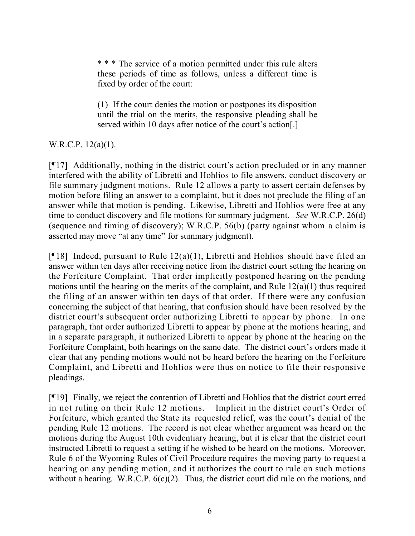\* \* \* The service of a motion permitted under this rule alters these periods of time as follows, unless a different time is fixed by order of the court:

(1) If the court denies the motion or postpones its disposition until the trial on the merits, the responsive pleading shall be served within 10 days after notice of the court's action[.]

# W.R.C.P. 12(a)(1).

[¶17] Additionally, nothing in the district court's action precluded or in any manner interfered with the ability of Libretti and Hohlios to file answers, conduct discovery or file summary judgment motions. Rule 12 allows a party to assert certain defenses by motion before filing an answer to a complaint, but it does not preclude the filing of an answer while that motion is pending. Likewise, Libretti and Hohlios were free at any time to conduct discovery and file motions for summary judgment. *See* W.R.C.P. 26(d) (sequence and timing of discovery); W.R.C.P. 56(b) (party against whom a claim is asserted may move "at any time" for summary judgment).

[ $[18]$  Indeed, pursuant to Rule 12(a)(1), Libretti and Hohlios should have filed an answer within ten days after receiving notice from the district court setting the hearing on the Forfeiture Complaint. That order implicitly postponed hearing on the pending motions until the hearing on the merits of the complaint, and Rule 12(a)(1) thus required the filing of an answer within ten days of that order. If there were any confusion concerning the subject of that hearing, that confusion should have been resolved by the district court's subsequent order authorizing Libretti to appear by phone. In one paragraph, that order authorized Libretti to appear by phone at the motions hearing, and in a separate paragraph, it authorized Libretti to appear by phone at the hearing on the Forfeiture Complaint, both hearings on the same date. The district court's orders made it clear that any pending motions would not be heard before the hearing on the Forfeiture Complaint, and Libretti and Hohlios were thus on notice to file their responsive pleadings.

[¶19] Finally, we reject the contention of Libretti and Hohlios that the district court erred in not ruling on their Rule 12 motions. Implicit in the district court's Order of Forfeiture, which granted the State its requested relief, was the court's denial of the pending Rule 12 motions. The record is not clear whether argument was heard on the motions during the August 10th evidentiary hearing, but it is clear that the district court instructed Libretti to request a setting if he wished to be heard on the motions. Moreover, Rule 6 of the Wyoming Rules of Civil Procedure requires the moving party to request a hearing on any pending motion, and it authorizes the court to rule on such motions without a hearing. W.R.C.P.  $6(c)(2)$ . Thus, the district court did rule on the motions, and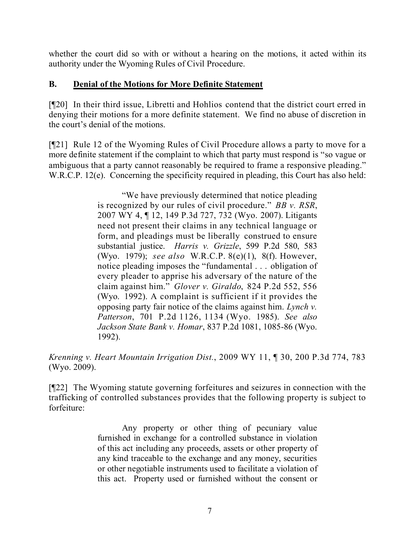whether the court did so with or without a hearing on the motions, it acted within its authority under the Wyoming Rules of Civil Procedure.

#### **B. Denial of the Motions for More Definite Statement**

[¶20] In their third issue, Libretti and Hohlios contend that the district court erred in denying their motions for a more definite statement. We find no abuse of discretion in the court's denial of the motions.

[¶21] Rule 12 of the Wyoming Rules of Civil Procedure allows a party to move for a more definite statement if the complaint to which that party must respond is "so vague or ambiguous that a party cannot reasonably be required to frame a responsive pleading." W.R.C.P. 12(e). Concerning the specificity required in pleading, this Court has also held:

> "We have previously determined that notice pleading is recognized by our rules of civil procedure." *BB v. RSR*, 2007 WY 4, ¶ 12, 149 P.3d 727, 732 (Wyo. 2007). Litigants need not present their claims in any technical language or form, and pleadings must be liberally construed to ensure substantial justice. *Harris v. Grizzle*, 599 P.2d 580, 583 (Wyo. 1979); *see also* W.R.C.P. 8(e)(1), 8(f). However, notice pleading imposes the "fundamental . . . obligation of every pleader to apprise his adversary of the nature of the claim against him." *Glover v. Giraldo*, 824 P.2d 552, 556 (Wyo. 1992). A complaint is sufficient if it provides the opposing party fair notice of the claims against him. *Lynch v. Patterson*, 701 P.2d 1126, 1134 (Wyo. 1985). *See also Jackson State Bank v. Homar*, 837 P.2d 1081, 1085-86 (Wyo. 1992).

*Krenning v. Heart Mountain Irrigation Dist.*, 2009 WY 11, ¶ 30, 200 P.3d 774, 783 (Wyo. 2009).

[¶22] The Wyoming statute governing forfeitures and seizures in connection with the trafficking of controlled substances provides that the following property is subject to forfeiture:

> Any property or other thing of pecuniary value furnished in exchange for a controlled substance in violation of this act including any proceeds, assets or other property of any kind traceable to the exchange and any money, securities or other negotiable instruments used to facilitate a violation of this act. Property used or furnished without the consent or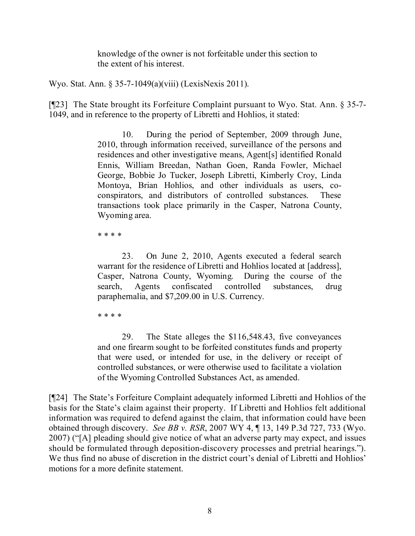knowledge of the owner is not forfeitable under this section to the extent of his interest.

Wyo. Stat. Ann. § 35-7-1049(a)(viii) (LexisNexis 2011).

[¶23] The State brought its Forfeiture Complaint pursuant to Wyo. Stat. Ann. § 35-7- 1049, and in reference to the property of Libretti and Hohlios, it stated:

> 10. During the period of September, 2009 through June, 2010, through information received, surveillance of the persons and residences and other investigative means, Agent[s] identified Ronald Ennis, William Breedan, Nathan Goen, Randa Fowler, Michael George, Bobbie Jo Tucker, Joseph Libretti, Kimberly Croy, Linda Montoya, Brian Hohlios, and other individuals as users, coconspirators, and distributors of controlled substances. These transactions took place primarily in the Casper, Natrona County, Wyoming area.

\* \* \* \*

23. On June 2, 2010, Agents executed a federal search warrant for the residence of Libretti and Hohlios located at [address], Casper, Natrona County, Wyoming. During the course of the search, Agents confiscated controlled substances, drug paraphernalia, and \$7,209.00 in U.S. Currency.

\* \* \* \*

29. The State alleges the \$116,548.43, five conveyances and one firearm sought to be forfeited constitutes funds and property that were used, or intended for use, in the delivery or receipt of controlled substances, or were otherwise used to facilitate a violation of the Wyoming Controlled Substances Act, as amended.

[¶24] The State's Forfeiture Complaint adequately informed Libretti and Hohlios of the basis for the State's claim against their property. If Libretti and Hohlios felt additional information was required to defend against the claim, that information could have been obtained through discovery. *See BB v. RSR*, 2007 WY 4, ¶ 13, 149 P.3d 727, 733 (Wyo. 2007) ("[A] pleading should give notice of what an adverse party may expect, and issues should be formulated through deposition-discovery processes and pretrial hearings."). We thus find no abuse of discretion in the district court's denial of Libretti and Hohlios' motions for a more definite statement.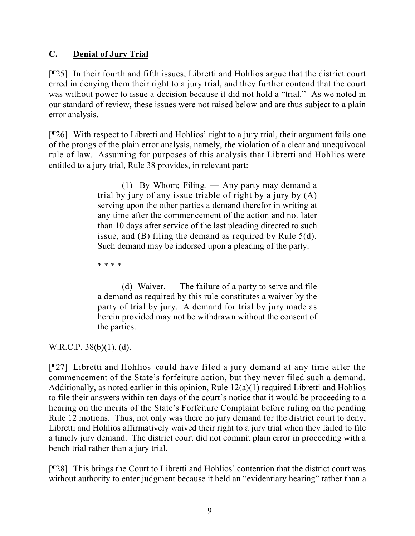# **C. Denial of Jury Trial**

[¶25] In their fourth and fifth issues, Libretti and Hohlios argue that the district court erred in denying them their right to a jury trial, and they further contend that the court was without power to issue a decision because it did not hold a "trial." As we noted in our standard of review, these issues were not raised below and are thus subject to a plain error analysis.

[¶26] With respect to Libretti and Hohlios' right to a jury trial, their argument fails one of the prongs of the plain error analysis, namely, the violation of a clear and unequivocal rule of law. Assuming for purposes of this analysis that Libretti and Hohlios were entitled to a jury trial, Rule 38 provides, in relevant part:

> (1) By Whom; Filing. — Any party may demand a trial by jury of any issue triable of right by a jury by (A) serving upon the other parties a demand therefor in writing at any time after the commencement of the action and not later than 10 days after service of the last pleading directed to such issue, and (B) filing the demand as required by Rule 5(d). Such demand may be indorsed upon a pleading of the party.

\* \* \* \*

(d) Waiver. — The failure of a party to serve and file a demand as required by this rule constitutes a waiver by the party of trial by jury. A demand for trial by jury made as herein provided may not be withdrawn without the consent of the parties.

W.R.C.P. 38(b)(1), (d).

[¶27] Libretti and Hohlios could have filed a jury demand at any time after the commencement of the State's forfeiture action, but they never filed such a demand. Additionally, as noted earlier in this opinion, Rule 12(a)(1) required Libretti and Hohlios to file their answers within ten days of the court's notice that it would be proceeding to a hearing on the merits of the State's Forfeiture Complaint before ruling on the pending Rule 12 motions. Thus, not only was there no jury demand for the district court to deny, Libretti and Hohlios affirmatively waived their right to a jury trial when they failed to file a timely jury demand. The district court did not commit plain error in proceeding with a bench trial rather than a jury trial.

[¶28] This brings the Court to Libretti and Hohlios' contention that the district court was without authority to enter judgment because it held an "evidentiary hearing" rather than a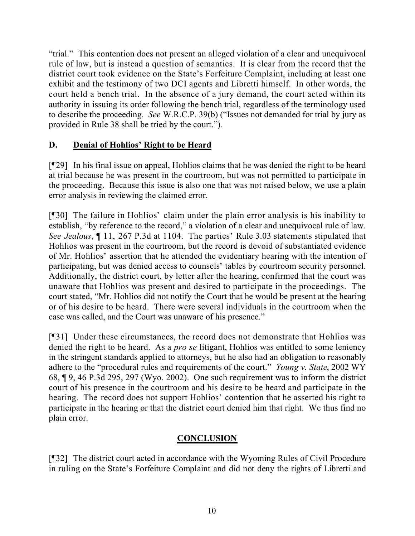"trial." This contention does not present an alleged violation of a clear and unequivocal rule of law, but is instead a question of semantics. It is clear from the record that the district court took evidence on the State's Forfeiture Complaint, including at least one exhibit and the testimony of two DCI agents and Libretti himself. In other words, the court held a bench trial. In the absence of a jury demand, the court acted within its authority in issuing its order following the bench trial, regardless of the terminology used to describe the proceeding. *See* W.R.C.P. 39(b) ("Issues not demanded for trial by jury as provided in Rule 38 shall be tried by the court.").

## **D. Denial of Hohlios' Right to be Heard**

[¶29] In his final issue on appeal, Hohlios claims that he was denied the right to be heard at trial because he was present in the courtroom, but was not permitted to participate in the proceeding. Because this issue is also one that was not raised below, we use a plain error analysis in reviewing the claimed error.

[¶30] The failure in Hohlios' claim under the plain error analysis is his inability to establish, "by reference to the record," a violation of a clear and unequivocal rule of law. *See Jealous*, ¶ 11, 267 P.3d at 1104. The parties' Rule 3.03 statements stipulated that Hohlios was present in the courtroom, but the record is devoid of substantiated evidence of Mr. Hohlios' assertion that he attended the evidentiary hearing with the intention of participating, but was denied access to counsels' tables by courtroom security personnel. Additionally, the district court, by letter after the hearing, confirmed that the court was unaware that Hohlios was present and desired to participate in the proceedings. The court stated, "Mr. Hohlios did not notify the Court that he would be present at the hearing or of his desire to be heard. There were several individuals in the courtroom when the case was called, and the Court was unaware of his presence."

[¶31] Under these circumstances, the record does not demonstrate that Hohlios was denied the right to be heard. As a *pro se* litigant, Hohlios was entitled to some leniency in the stringent standards applied to attorneys, but he also had an obligation to reasonably adhere to the "procedural rules and requirements of the court." *Young v. State*, 2002 WY 68, ¶ 9, 46 P.3d 295, 297 (Wyo. 2002). One such requirement was to inform the district court of his presence in the courtroom and his desire to be heard and participate in the hearing. The record does not support Hohlios' contention that he asserted his right to participate in the hearing or that the district court denied him that right. We thus find no plain error.

# **CONCLUSION**

[¶32] The district court acted in accordance with the Wyoming Rules of Civil Procedure in ruling on the State's Forfeiture Complaint and did not deny the rights of Libretti and